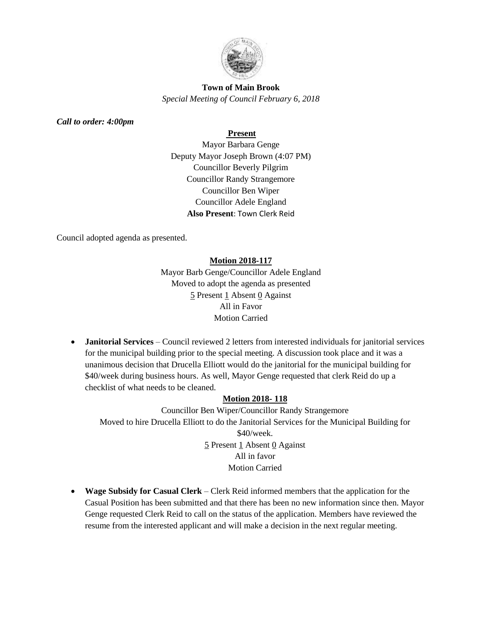

# **Town of Main Brook** *Special Meeting of Council February 6, 2018*

*Call to order: 4:00pm*

## **Present**

Mayor Barbara Genge Deputy Mayor Joseph Brown (4:07 PM) Councillor Beverly Pilgrim Councillor Randy Strangemore Councillor Ben Wiper Councillor Adele England **Also Present**: Town Clerk Reid

Council adopted agenda as presented.

### **Motion 2018-117**

Mayor Barb Genge/Councillor Adele England Moved to adopt the agenda as presented 5 Present 1 Absent 0 Against All in Favor Motion Carried

• **Janitorial Services** – Council reviewed 2 letters from interested individuals for janitorial services for the municipal building prior to the special meeting. A discussion took place and it was a unanimous decision that Drucella Elliott would do the janitorial for the municipal building for \$40/week during business hours. As well, Mayor Genge requested that clerk Reid do up a checklist of what needs to be cleaned.

# **Motion 2018- 118**

Councillor Ben Wiper/Councillor Randy Strangemore Moved to hire Drucella Elliott to do the Janitorial Services for the Municipal Building for \$40/week.  $\frac{5}{2}$  Present  $\frac{1}{2}$  Absent  $\frac{0}{2}$  Against All in favor Motion Carried

• **Wage Subsidy for Casual Clerk** – Clerk Reid informed members that the application for the Casual Position has been submitted and that there has been no new information since then. Mayor Genge requested Clerk Reid to call on the status of the application. Members have reviewed the resume from the interested applicant and will make a decision in the next regular meeting.